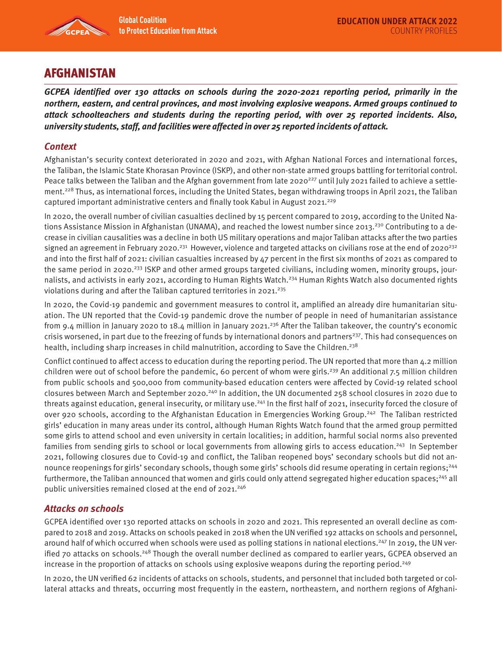

# AFGHANISTAN

**GCPEA identified over 130 attacks on schools during the 2020-2021 reporting period, primarily in the northern, eastern, and central provinces, and most involving explosive weapons. Armed groups continued to attack schoolteachers and students during the reporting period, with over 25 reported incidents. Also, university students, staff, and facilities were affected in over 25 reported incidents of attack.** 

## **Context**

Afghanistan's security context deteriorated in 2020 and 2021, with Afghan National Forces and international forces, the Taliban, the Islamic State Khorasan Province (ISKP), and other non-state armed groups battling for territorial control. Peace talks between the Taliban and the Afghan government from late 2020<sup>227</sup> until July 2021 failed to achieve a settlement.<sup>228</sup> Thus, as international forces, including the United States, began withdrawing troops in April 2021, the Taliban captured important administrative centers and finally took Kabul in August 2021.<sup>229</sup>

In 2020, the overall number of civilian casualties declined by 15 percent compared to 2019, according to the United Nations Assistance Mission in Afghanistan (UNAMA), and reached the lowest number since 2013.<sup>230</sup> Contributing to a decrease in civilian causalities was a decline in both US military operations and major Taliban attacks after the two parties signed an agreement in February 2020.<sup>231</sup> However, violence and targeted attacks on civilians rose at the end of 2020<sup>232</sup> and into the first half of 2021: civilian casualties increased by 47 percent in the first six months of 2021 as compared to the same period in 2020.<sup>233</sup> ISKP and other armed groups targeted civilians, including women, minority groups, journalists, and activists in early 2021, according to Human Rights Watch.<sup>234</sup> Human Rights Watch also documented rights violations during and after the Taliban captured territories in 2021.<sup>235</sup>

In 2020, the Covid-19 pandemic and government measures to control it, amplified an already dire humanitarian situation. The UN reported that the Covid-19 pandemic drove the number of people in need of humanitarian assistance from 9.4 million in January 2020 to 18.4 million in January 2021.<sup>236</sup> After the Taliban takeover, the country's economic crisis worsened, in part due to the freezing of funds by international donors and partners<sup>237</sup>. This had consequences on health, including sharp increases in child malnutrition, according to Save the Children.<sup>238</sup>

Conflict continued to affect access to education during the reporting period. The UN reported that more than 4.2 million children were out of school before the pandemic, 60 percent of whom were girls.239 An additional 7.5 million children from public schools and 500,000 from community-based education centers were affected by Covid-19 related school closures between March and September 2020.240 In addition, the UN documented 258 school closures in 2020 due to threats against education, general insecurity, or military use.<sup>241</sup> In the first half of 2021, insecurity forced the closure of over 920 schools, according to the Afghanistan Education in Emergencies Working Group.<sup>242</sup> The Taliban restricted girls' education in many areas under its control, although Human Rights Watch found that the armed group permitted some girls to attend school and even university in certain localities; in addition, harmful social norms also prevented families from sending girls to school or local governments from allowing girls to access education.<sup>243</sup> In September 2021, following closures due to Covid-19 and conflict, the Taliban reopened boys' secondary schools but did not announce reopenings for girls' secondary schools, though some girls' schools did resume operating in certain regions;<sup>244</sup> furthermore, the Taliban announced that women and girls could only attend segregated higher education spaces;<sup>245</sup> all public universities remained closed at the end of 2021.<sup>246</sup>

### **Attacks on schools**

GCPEA identified over 130 reported attacks on schools in 2020 and 2021. This represented an overall decline as compared to 2018 and 2019. Attacks on schools peaked in 2018 when the UN verified 192 attacks on schools and personnel, around half of which occurred when schools were used as polling stations in national elections.<sup>247</sup> In 2019, the UN verified 70 attacks on schools.<sup>248</sup> Though the overall number declined as compared to earlier years, GCPEA observed an increase in the proportion of attacks on schools using explosive weapons during the reporting period.249

In 2020, the UN verified 62 incidents of attacks on schools, students, and personnel that included both targeted or collateral attacks and threats, occurring most frequently in the eastern, northeastern, and northern regions of Afghani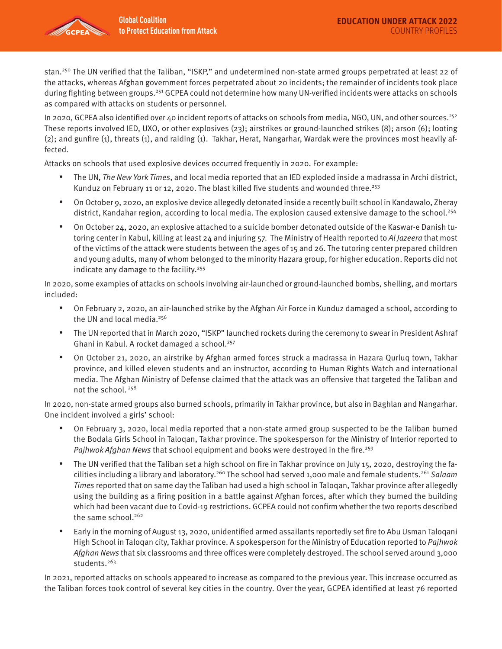stan.<sup>250</sup> The UN verified that the Taliban, "ISKP," and undetermined non-state armed groups perpetrated at least 22 of the attacks, whereas Afghan government forces perpetrated about 20 incidents; the remainder of incidents took place during fighting between groups.251 GCPEA could not determine how many UN-verified incidents were attacks on schools as compared with attacks on students or personnel.

In 2020, GCPEA also identified over 40 incident reports of attacks on schools from media, NGO, UN, and other sources.<sup>252</sup> These reports involved IED, UXO, or other explosives (23); airstrikes or ground-launched strikes (8); arson (6); looting (2); and gunfire (1), threats (1), and raiding (1). Takhar, Herat, Nangarhar, Wardak were the provinces most heavily affected.

Attacks on schools that used explosive devices occurred frequently in 2020. For example:

- The UN, The New York Times, and local media reported that an IED exploded inside a madrassa in Archi district, Kunduz on February 11 or 12, 2020. The blast killed five students and wounded three.<sup>253</sup>
- On October 9, 2020, an explosive device allegedly detonated inside a recently built school in Kandawalo, Zheray district, Kandahar region, according to local media. The explosion caused extensive damage to the school.<sup>254</sup>
- On October 24, 2020, an explosive attached to a suicide bomber detonated outside of the Kaswar-e Danish tutoring center in Kabul, killing at least 24 and injuring 57. The Ministry of Health reported to Al Jazeera that most of the victims of the attack were students between the ages of 15 and 26. The tutoring center prepared children and young adults, many of whom belonged to the minority Hazara group, for higher education. Reports did not indicate any damage to the facility.<sup>255</sup>

In 2020, some examples of attacks on schools involving air-launched or ground-launched bombs, shelling, and mortars included:

- On February 2, 2020, an air-launched strike by the Afghan Air Force in Kunduz damaged a school, according to the UN and local media.<sup>256</sup>
- The UN reported that in March 2020, "ISKP" launched rockets during the ceremony to swear in President Ashraf Ghani in Kabul. A rocket damaged a school.257
- On October 21, 2020, an airstrike by Afghan armed forces struck a madrassa in Hazara Qurluq town, Takhar province, and killed eleven students and an instructor, according to Human Rights Watch and international media. The Afghan Ministry of Defense claimed that the attack was an offensive that targeted the Taliban and not the school. 258

In 2020, non-state armed groups also burned schools, primarily in Takhar province, but also in Baghlan and Nangarhar. One incident involved a girls' school:

- On February 3, 2020, local media reported that a non-state armed group suspected to be the Taliban burned the Bodala Girls School in Taloqan, Takhar province. The spokesperson for the Ministry of Interior reported to Pajhwok Afghan News that school equipment and books were destroyed in the fire.<sup>259</sup>
- The UN verified that the Taliban set a high school on fire in Takhar province on July 15, 2020, destroying the facilities including a library and laboratory.<sup>260</sup> The school had served 1,000 male and female students.<sup>261</sup> Salaam Times reported that on same day the Taliban had used a high school in Taloqan, Takhar province after allegedly using the building as a firing position in a battle against Afghan forces, after which they burned the building which had been vacant due to Covid-19 restrictions. GCPEA could not confirm whether the two reports described the same school.<sup>262</sup>
- Early in the morning of August 13, 2020, unidentified armed assailants reportedly set fire to Abu Usman Taloqani High School in Taloqan city, Takhar province. A spokesperson for the Ministry of Education reported to Pajhwok Afghan News that six classrooms and three offices were completely destroyed. The school served around 3,000 students.<sup>263</sup>

In 2021, reported attacks on schools appeared to increase as compared to the previous year. This increase occurred as the Taliban forces took control of several key cities in the country. Over the year, GCPEA identified at least 76 reported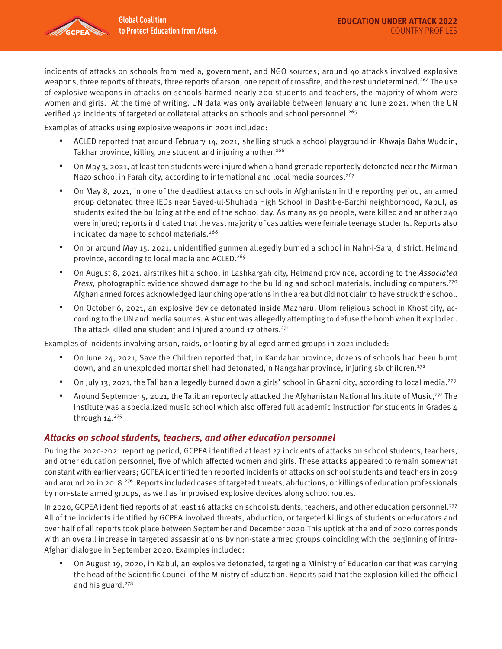incidents of attacks on schools from media, government, and NGO sources; around 40 attacks involved explosive weapons, three reports of threats, three reports of arson, one report of crossfire, and the rest undetermined.<sup>264</sup> The use of explosive weapons in attacks on schools harmed nearly 200 students and teachers, the majority of whom were women and girls. At the time of writing, UN data was only available between January and June 2021, when the UN verified 42 incidents of targeted or collateral attacks on schools and school personnel.<sup>265</sup>

Examples of attacks using explosive weapons in 2021 included:

- ACLED reported that around February 14, 2021, shelling struck a school playground in Khwaja Baha Wuddin, Takhar province, killing one student and injuring another.<sup>266</sup>
- On May 3, 2021, at least ten students were injured when a hand grenade reportedly detonated near the Mirman Nazo school in Farah city, according to international and local media sources.<sup>267</sup>
- On May 8, 2021, in one of the deadliest attacks on schools in Afghanistan in the reporting period, an armed group detonated three IEDs near Sayed-ul-Shuhada High School in Dasht-e-Barchi neighborhood, Kabul, as students exited the building at the end of the school day. As many as 90 people, were killed and another 240 were injured; reports indicated that the vast majority of casualties were female teenage students. Reports also indicated damage to school materials.<sup>268</sup>
- On or around May 15, 2021, unidentified gunmen allegedly burned a school in Nahr-i-Saraj district, Helmand province, according to local media and ACLED.<sup>269</sup>
- On August 8, 2021, airstrikes hit a school in Lashkargah city, Helmand province, according to the Associated Press; photographic evidence showed damage to the building and school materials, including computers.<sup>270</sup> Afghan armed forces acknowledged launching operations in the area but did not claim to have struck the school.
- On October 6, 2021, an explosive device detonated inside Mazharul Ulom religious school in Khost city, according to the UN and media sources. A student was allegedly attempting to defuse the bomb when it exploded. The attack killed one student and injured around 17 others. $271$

Examples of incidents involving arson, raids, or looting by alleged armed groups in 2021 included:

- On June 24, 2021, Save the Children reported that, in Kandahar province, dozens of schools had been burnt down, and an unexploded mortar shell had detonated, in Nangahar province, injuring six children.<sup>272</sup>
- On July 13, 2021, the Taliban allegedly burned down a girls' school in Ghazni city, according to local media.<sup>273</sup>
- Around September 5, 2021, the Taliban reportedly attacked the Afghanistan National Institute of Music,<sup>274</sup> The Institute was a specialized music school which also offered full academic instruction for students in Grades 4 through  $14.^{275}$

#### **Attacks on school students, teachers, and other education personnel**

During the 2020-2021 reporting period, GCPEA identified at least 27 incidents of attacks on school students, teachers, and other education personnel, five of which affected women and girls. These attacks appeared to remain somewhat constant with earlier years; GCPEA identified ten reported incidents of attacks on school students and teachers in 2019 and around 20 in 2018.<sup>276</sup> Reports included cases of targeted threats, abductions, or killings of education professionals by non-state armed groups, as well as improvised explosive devices along school routes.

In 2020, GCPEA identified reports of at least 16 attacks on school students, teachers, and other education personnel.<sup>277</sup> All of the incidents identified by GCPEA involved threats, abduction, or targeted killings of students or educators and over half of all reports took place between September and December 2020.This uptick at the end of 2020 corresponds with an overall increase in targeted assassinations by non-state armed groups coinciding with the beginning of intra-Afghan dialogue in September 2020. Examples included:

• On August 19, 2020, in Kabul, an explosive detonated, targeting a Ministry of Education car that was carrying the head of the Scientific Council of the Ministry of Education. Reports said that the explosion killed the official and his guard. $278$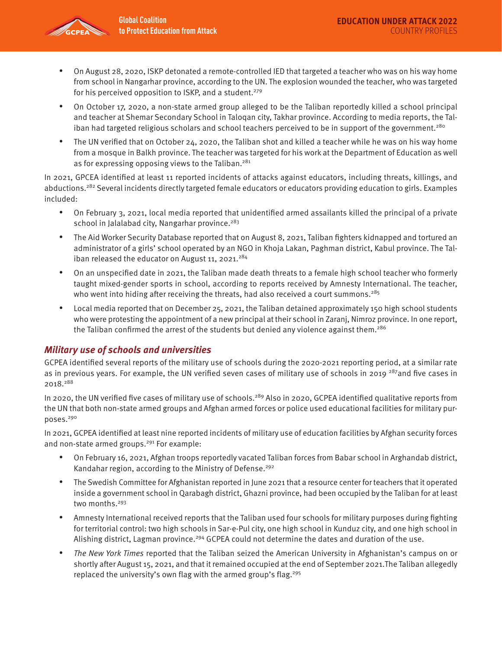

- On August 28, 2020, ISKP detonated a remote-controlled IED that targeted a teacher who was on his way home from school in Nangarhar province, according to the UN. The explosion wounded the teacher, who was targeted for his perceived opposition to ISKP, and a student.<sup>279</sup>
- On October 17, 2020, a non-state armed group alleged to be the Taliban reportedly killed a school principal and teacher at Shemar Secondary School in Taloqan city, Takhar province. According to media reports, the Taliban had targeted religious scholars and school teachers perceived to be in support of the government.<sup>280</sup>
- The UN verified that on October 24, 2020, the Taliban shot and killed a teacher while he was on his way home from a mosque in Balkh province. The teacher was targeted for his work at the Department of Education as well as for expressing opposing views to the Taliban.<sup>281</sup>

In 2021, GPCEA identified at least 11 reported incidents of attacks against educators, including threats, killings, and abductions.<sup>282</sup> Several incidents directly targeted female educators or educators providing education to girls. Examples included:

- On February 3, 2021, local media reported that unidentified armed assailants killed the principal of a private school in Jalalabad city, Nangarhar province.<sup>283</sup>
- The Aid Worker Security Database reported that on August 8, 2021, Taliban fighters kidnapped and tortured an administrator of a girls' school operated by an NGO in Khoja Lakan, Paghman district, Kabul province. The Taliban released the educator on August 11, 2021.<sup>284</sup>
- On an unspecified date in 2021, the Taliban made death threats to a female high school teacher who formerly taught mixed-gender sports in school, according to reports received by Amnesty International. The teacher, who went into hiding after receiving the threats, had also received a court summons.<sup>285</sup>
- Local media reported that on December 25, 2021, the Taliban detained approximately 150 high school students who were protesting the appointment of a new principal at their school in Zaranj, Nimroz province. In one report, the Taliban confirmed the arrest of the students but denied any violence against them.<sup>286</sup>

# **Military use of schools and universities**

GCPEA identified several reports of the military use of schools during the 2020-2021 reporting period, at a similar rate as in previous years. For example, the UN verified seven cases of military use of schools in 2019<sup>287</sup>and five cases in 2018.288

In 2020, the UN verified five cases of military use of schools.<sup>289</sup> Also in 2020, GCPEA identified qualitative reports from the UN that both non-state armed groups and Afghan armed forces or police used educational facilities for military purposes.290

In 2021, GCPEA identified at least nine reported incidents of military use of education facilities by Afghan security forces and non-state armed groups.<sup>291</sup> For example:

- On February 16, 2021, Afghan troops reportedly vacated Taliban forces from Babar school in Arghandab district, Kandahar region, according to the Ministry of Defense.<sup>292</sup>
- The Swedish Committee for Afghanistan reported in June 2021 that a resource center for teachers that it operated inside a government school in Qarabagh district, Ghazni province, had been occupied by the Taliban for at least two months.<sup>293</sup>
- Amnesty International received reports that the Taliban used four schools for military purposes during fighting for territorial control: two high schools in Sar-e-Pul city, one high school in Kunduz city, and one high school in Alishing district, Lagman province.<sup>294</sup> GCPEA could not determine the dates and duration of the use.
- The New York Times reported that the Taliban seized the American University in Afghanistan's campus on or shortly after August 15, 2021, and that it remained occupied at the end of September 2021.The Taliban allegedly replaced the university's own flag with the armed group's flag.<sup>295</sup>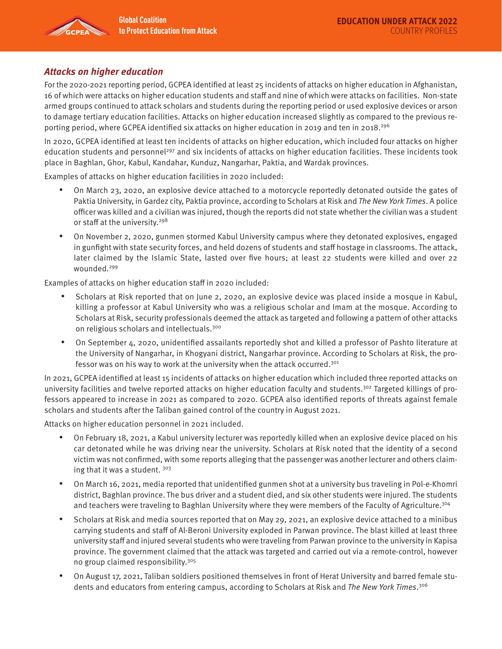

## **Attacks on higher education**

For the 2020-2021 reporting period, GCPEA identified at least 25 incidents of attacks on higher education in Afghanistan, 16 of which were attacks on higher education students and staff and nine of which were attacks on facilities. Non-state armed groups continued to attack scholars and students during the reporting period or used explosive devices or arson to damage tertiary education facilities. Attacks on higher education increased slightly as compared to the previous reporting period, where GCPEA identified six attacks on higher education in 2019 and ten in 2018.296

In 2020, GCPEA identified at least ten incidents of attacks on higher education, which included four attacks on higher education students and personnel<sup>297</sup> and six incidents of attacks on higher education facilities. These incidents took place in Baghlan, Ghor, Kabul, Kandahar, Kunduz, Nangarhar, Paktia, and Wardak provinces.

Examples of attacks on higher education facilities in 2020 included:

- On March 23, 2020, an explosive device attached to a motorcycle reportedly detonated outside the gates of Paktia University, in Gardez city, Paktia province, according to Scholars at Risk and The New York Times. A police officer was killed and a civilian was injured, though the reports did not state whether the civilian was a student or staff at the university.<sup>298</sup>
- On November 2, 2020, gunmen stormed Kabul University campus where they detonated explosives, engaged in gunfight with state security forces, and held dozens of students and staff hostage in classrooms. The attack, later claimed by the Islamic State, lasted over five hours; at least 22 students were killed and over 22 wounded.299

Examples of attacks on higher education staff in 2020 included:

- Scholars at Risk reported that on June 2, 2020, an explosive device was placed inside a mosque in Kabul, killing a professor at Kabul University who was a religious scholar and Imam at the mosque. According to Scholars at Risk, security professionals deemed the attack as targeted and following a pattern of other attacks on religious scholars and intellectuals.300
- On September 4, 2020, unidentified assailants reportedly shot and killed a professor of Pashto literature at the University of Nangarhar, in Khogyani district, Nangarhar province. According to Scholars at Risk, the professor was on his way to work at the university when the attack occurred.<sup>301</sup>

In 2021, GCPEA identified at least 15 incidents of attacks on higher education which included three reported attacks on university facilities and twelve reported attacks on higher education faculty and students.<sup>302</sup> Targeted killings of professors appeared to increase in 2021 as compared to 2020. GCPEA also identified reports of threats against female scholars and students after the Taliban gained control of the country in August 2021.

Attacks on higher education personnel in 2021 included.

- On February 18, 2021, a Kabul university lecturer was reportedly killed when an explosive device placed on his car detonated while he was driving near the university. Scholars at Risk noted that the identity of a second victim was not confirmed, with some reports alleging that the passenger was another lecturer and others claiming that it was a student. 303
- On March 16, 2021, media reported that unidentified gunmen shot at a university bus traveling in Pol-e-Khomri district, Baghlan province. The bus driver and a student died, and six other students were injured. The students and teachers were traveling to Baghlan University where they were members of the Faculty of Agriculture.304
- Scholars at Risk and media sources reported that on May 29, 2021, an explosive device attached to a minibus carrying students and staff of Al-Beroni University exploded in Parwan province. The blast killed at least three university staff and injured several students who were traveling from Parwan province to the university in Kapisa province. The government claimed that the attack was targeted and carried out via a remote-control, however no group claimed responsibility.305
- On August 17, 2021, Taliban soldiers positioned themselves in front of Herat University and barred female students and educators from entering campus, according to Scholars at Risk and The New York Times.<sup>306</sup>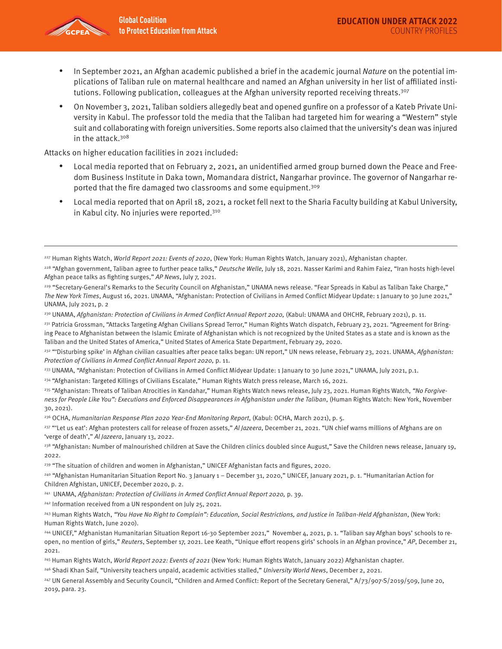

- In September 2021, an Afghan academic published a brief in the academic journal Nature on the potential implications of Taliban rule on maternal healthcare and named an Afghan university in her list of affiliated institutions. Following publication, colleagues at the Afghan university reported receiving threats.<sup>307</sup>
- On November 3, 2021, Taliban soldiers allegedly beat and opened gunfire on a professor of a Kateb Private University in Kabul. The professor told the media that the Taliban had targeted him for wearing a "Western" style suit and collaborating with foreign universities. Some reports also claimed that the university's dean was injured in the attack.308

Attacks on higher education facilities in 2021 included:

- Local media reported that on February 2, 2021, an unidentified armed group burned down the Peace and Freedom Business Institute in Daka town, Momandara district, Nangarhar province. The governor of Nangarhar reported that the fire damaged two classrooms and some equipment.309
- Local media reported that on April 18, 2021, a rocket fell next to the Sharia Faculty building at Kabul University, in Kabul city. No injuries were reported.<sup>310</sup>

- 233 UNAMA, "Afghanistan: Protection of Civilians in Armed Conflict Midyear Update: 1 January to 30 June 2021," UNAMA, July 2021, p.1.
- 234 "Afghanistan: Targeted Killings of Civilians Escalate," Human Rights Watch press release, March 16, 2021.
- <sup>235</sup> "Afghanistan: Threats of Taliban Atrocities in Kandahar," Human Rights Watch news release, July 23, 2021. Human Rights Watch, "No Forgiveness for People Like You": Executions and Enforced Disappearances in Afghanistan under the Taliban, (Human Rights Watch: New York, November 30, 2021).
- <sup>236</sup> OCHA, Humanitarian Response Plan 2020 Year-End Monitoring Report, (Kabul: OCHA, March 2021), p. 5.

<sup>237</sup> "'Let us eat': Afghan protesters call for release of frozen assets," Al Jazeera, December 21, 2021. "UN chief warns millions of Afghans are on 'verge of death'," Al Jazeera, January 13, 2022.

<sup>238</sup> "Afghanistan: Number of malnourished children at Save the Children clinics doubled since August," Save the Children news release, January 19, 2022.

- <sup>239</sup> "The situation of children and women in Afghanistan," UNICEF Afghanistan facts and figures, 2020.
- 240 "Afghanistan Humanitarian Situation Report No. 3 January 1 December 31, 2020," UNICEF, January 2021, p. 1. "Humanitarian Action for Children Afghistan, UNICEF, December 2020, p. 2.
- <sup>241</sup> UNAMA, Afghanistan: Protection of Civilians in Armed Conflict Annual Report 2020, p. 39.

242 Information received from a UN respondent on July 25, 2021.

<sup>227</sup> Human Rights Watch, World Report 2021: Events of 2020, (New York: Human Rights Watch, January 2021), Afghanistan chapter.

<sup>&</sup>lt;sup>228</sup> "Afghan government, Taliban agree to further peace talks," Deutsche Welle, July 18, 2021. Nasser Karimi and Rahim Faiez, "Iran hosts high-level Afghan peace talks as fighting surges," AP News, July 7, 2021.

<sup>&</sup>lt;sup>229</sup> "Secretary-General's Remarks to the Security Council on Afghanistan," UNAMA news release. "Fear Spreads in Kabul as Taliban Take Charge," The New York Times, August 16, 2021. UNAMA, "Afghanistan: Protection of Civilians in Armed Conflict Midyear Update: 1 January to 30 June 2021," UNAMA, July 2021, p. 2

<sup>&</sup>lt;sup>230</sup> UNAMA, Afghanistan: Protection of Civilians in Armed Conflict Annual Report 2020, (Kabul: UNAMA and OHCHR, February 2021), p. 11.

<sup>&</sup>lt;sup>231</sup> Patricia Grossman, "Attacks Targeting Afghan Civilians Spread Terror," Human Rights Watch dispatch, February 23, 2021. "Agreement for Bringing Peace to Afghanistan between the Islamic Emirate of Afghanistan which is not recognized by the United States as a state and is known as the Taliban and the United States of America," United States of America State Department, February 29, 2020.

<sup>&</sup>lt;sup>232</sup> "Disturbing spike' in Afghan civilian casualties after peace talks began: UN report," UN news release, February 23, 2021. UNAMA, Afghanistan: Protection of Civilians in Armed Conflict Annual Report 2020, p. 11.

<sup>&</sup>lt;sup>243</sup> Human Rights Watch, "You Have No Right to Complain": Education, Social Restrictions, and Justice in Taliban-Held Afghanistan, (New York: Human Rights Watch, June 2020).

<sup>&</sup>lt;sup>244</sup> UNICEF," Afghanistan Humanitarian Situation Report 16-30 September 2021," November 4, 2021, p. 1. "Taliban say Afghan boys' schools to reopen, no mention of girls," Reuters, September 17, 2021. Lee Keath, "Unique effort reopens girls' schools in an Afghan province," AP, December 21, 2021.

<sup>&</sup>lt;sup>245</sup> Human Rights Watch, World Report 2022: Events of 2021 (New York: Human Rights Watch, January 2022) Afghanistan chapter.

<sup>&</sup>lt;sup>246</sup> Shadi Khan Saif, "University teachers unpaid, academic activities stalled," University World News, December 2, 2021.

<sup>&</sup>lt;sup>247</sup> UN General Assembly and Security Council, "Children and Armed Conflict: Report of the Secretary General," A/73/907-S/2019/509, June 20, 2019, para. 23.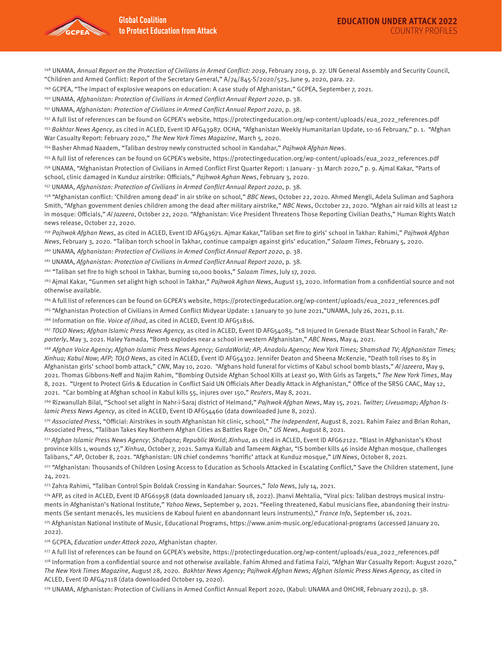

248 UNAMA, Annual Report on the Protection of Civilians in Armed Conflict: 2019, February 2019, p. 27. UN General Assembly and Security Council, "Children and Armed Conflict: Report of the Secretary General," A/74/845-S/2020/525, June 9, 2020, para. 22.

<sup>249</sup> GCPEA, "The impact of explosive weapons on education: A case study of Afghanistan," GCPEA, September 7, 2021.

<sup>250</sup> UNAMA, Afghanistan: Protection of Civilians in Armed Conflict Annual Report 2020, p. 38.

<sup>251</sup> UNAMA, Afghanistan: Protection of Civilians in Armed Conflict Annual Report 2020, p. 38.

<sup>252</sup> A full list of references can be found on GCPEA's website, https://protectingeducation.org/wp-content/uploads/eua\_2022\_references.pdf

<sup>253</sup> Bakhtar News Agency, as cited in ACLED, Event ID AFG43987. OCHA, "Afghanistan Weekly Humanitarian Update, 10-16 February," p. 1. "Afghan War Casualty Report: February 2020," The New York Times Magazine, March 5, 2020.

<sup>254</sup> Basher Ahmad Naadem, "Taliban destroy newly constructed school in Kandahar," Pajhwok Afghan News.

255 A full list of references can be found on GCPEA's website, [https://protectingeducation.org/wp-content/uploads/eua\\_2022\\_references.pdf](https://protectingeducation.org/wp-content/uploads/eua_2022_references.pdf) 

256 UNAMA, "Afghanistan Protection of Civilians in Armed Conflict First Quarter Report: 1 January - 31 March 2020," p. 9. Ajmal Kakar, "Parts of school, clinic damaged in Kunduz airstrike: Officials," Pajhwok Aghan News, February 3, 2020.

<sup>257</sup> UNAMA, Afghanistan: Protection of Civilians in Armed Conflict Annual Report 2020, p. 38.

<sup>258</sup> "Afghanistan conflict: 'Children among dead' in air strike on school," BBC News, October 22, 2020. Ahmed Mengli, Adela Suliman and Saphora Smith, "Afghan government denies children among the dead after military airstrike," NBC News, Occtober 22, 2020. "Afghan air raid kills at least 12 in mosque: Officials," Al Jazeera, October 22, 2020. "Afghanistan: Vice President Threatens Those Reporting Civilian Deaths," Human Rights Watch news release, October 22, 2020.

<sup>259</sup> Pajhwok Afghan News, as cited in ACLED, Event ID AFG43671. Ajmar Kakar,"Taliban set fire to girls' school in Takhar: Rahimi," Pajhwok Afghan News, February 3, 2020. "Taliban torch school in Takhar, continue campaign against girls' education," Salaam Times, February 5, 2020.

<sup>260</sup> UNAMA, Afghanistan: Protection of Civilians in Armed Conflict Annual Report 2020, p. 38.

<sup>261</sup> UNAMA, Afghanistan: Protection of Civilians in Armed Conflict Annual Report 2020, p. 38.

<sup>262</sup> "Taliban set fire to high school in Takhar, burning 10,000 books," Salaam Times, July 17, 2020.

<sup>263</sup> Ajmal Kakar, "Gunmen set alight high school in Takhar," Pajhwok Aghan News, August 13, 2020. Information from a confidential source and not otherwise available.

264 A full list of references can be found on GCPEA's website, [https://protectingeducation.org/wp-content/uploads/eua\\_2022\\_references.pdf](https://protectingeducation.org/wp-content/uploads/eua_2022_references.pdf) 

<sup>265</sup> "Afghanistan Protection of Civilians in Armed Conflict Midyear Update: 1 January to 30 June 2021,"UNAMA, July 26, 2021, p.11.

<sup>266</sup> Information on file. Voice of Jihad, as cited in ACLED, Event ID AFG51816.

<sup>267</sup> TOLO News; Afghan Islamic Press News Agency, as cited in ACLED, Event ID AFG54085. "18 Injured In Grenade Blast Near School in Farah,' Reporterly, May 3, 2021. Haley Yamada, "Bomb explodes near a school in western Afghanistan," ABC News, May 4, 2021.

<sup>268</sup> Afghan Voice Agency; Afghan Islamic Press News Agency; GardaWorld; AP; Anadolu Agency; New York Times; Shamshad TV; Afghanistan Times; Xinhua; Kabul Now; AFP; TOLO News, as cited in ACLED, Event ID AFG54302. Jennifer Deaton and Sheena McKenzie, "Death toll rises to 85 in Afghanistan girls' school bomb attack," CNN, May 10, 2020. "Afghans hold funeral for victims of Kabul school bomb blasts," Al Jazeera, May 9, 2021. Thomas Gibbons-Neff and Najim Rahim, "Bombing Outside Afghan School Kills at Least 90, With Girls as Targets," The New York Times, May 8, 2021. "Urgent to Protect Girls & Education in Conflict Said UN Officials After Deadly Attack in Afghanistan," Office of the SRSG CAAC, May 12, 2021. "Car bombing at Afghan school in Kabul kills 55, injures over 150," Reuters, May 8, 2021.

<sup>269</sup> Rizwanullah Bilal, "School set alight in Nahr-i-Saraj district of Helmand," Pajhwok Afghan News, May 15, 2021. Twitter; Liveuamap; Afghan Islamic Press News Agency, as cited in ACLED, Event ID AFG54460 (data downloaded June 8, 2021).

<sup>270</sup> Associated Press, "Official: Airstrikes in south Afghanistan hit clinic, school," The Independent, August 8, 2021. Rahim Faiez and Brian Rohan, Associated Press, "Taliban Takes Key Northern Afghan Cities as Battles Rage On," US News, August 8, 2021.

<sup>271</sup> Afghan Islamic Press News Agency; Shafaqna; Republic World; Xinhua, as cited in ACLED, Event ID AFG62122. "Blast in Afghanistan's Khost province kills 1, wounds 17," Xinhua, October 7, 2021. Samya Kullab and Tameem Akghar, "IS bomber kills 46 inside Afghan mosque, challenges Talibans," AP, October 8, 2021. "Afghanistan: UN chief condemns 'horrific' attack at Kunduz mosque," UN News, October 8, 2021.

<sup>272</sup> "Afghanistan: Thousands of Children Losing Access to Education as Schools Attacked in Escalating Conflict," Save the Children statement, June 24, 2021.

<sup>273</sup> Zahra Rahimi, "Taliban Control Spin Boldak Crossing in Kandahar: Sources," Tolo News, July 14, 2021.

274 AFP, as cited in ACLED, Event ID AFG61958 (data downloaded January 18, 2022). Jhanvi Mehtalia, "Viral pics: Taliban destroys musical instruments in Afghanistan's National Institute," Yahoo News, September 9, 2021. "Feeling threatened, Kabul musicians flee, abandoning their instruments (Se sentant menacés, les musiciens de Kaboul fuient en abandonnant leurs instruments)," France Info, September 16, 2021.

275 Afghanistan National Institute of Music, Educational Programs,<https://www.anim-music.org/educational-programs>(accessed January 20, 2022).

<sup>276</sup> GCPEA, *Education under Attack 2020*, Afghanistan chapter.

277 A full list of references can be found on GCPEA's website, [https://protectingeducation.org/wp-content/uploads/eua\\_2022\\_references.pdf](https://protectingeducation.org/wp-content/uploads/eua_2022_references.pdf) 278 Information from a confidential source and not otherwise available. Fahim Ahmed and Fatima Faizi, "Afghan War Casualty Report: August 2020," The New York Times Magazine, August 28, 2020. Bakhtar News Agency; Pajhwok Afghan News; Afghan Islamic Press News Agency, as cited in ACLED, Event ID AFG47118 (data downloaded October 19, 2020).

279 UNAMA, Afghanistan: Protection of Civilians in Armed Conflict Annual Report 2020, (Kabul: UNAMA and OHCHR, February 2021), p. 38.